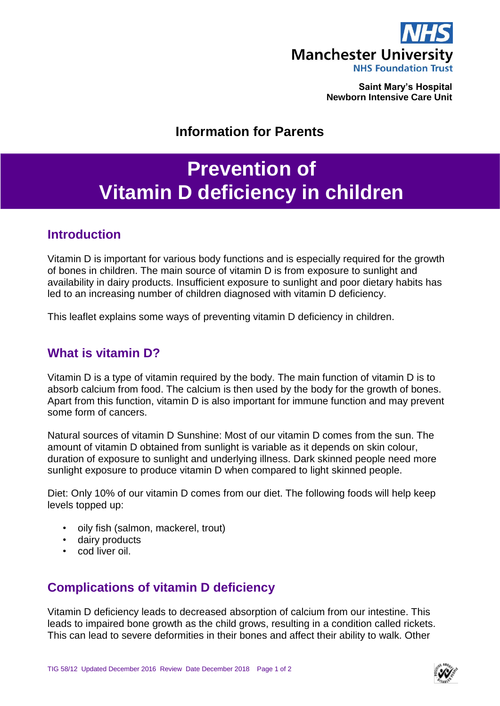

**Saint Mary's Hospital Newborn Intensive Care Unit**

## **Information for Parents**

# **Prevention of Vitamin D deficiency in children**

### **Introduction**

Vitamin D is important for various body functions and is especially required for the growth of bones in children. The main source of vitamin D is from exposure to sunlight and availability in dairy products. Insufficient exposure to sunlight and poor dietary habits has led to an increasing number of children diagnosed with vitamin D deficiency.

This leaflet explains some ways of preventing vitamin D deficiency in children.

#### **What is vitamin D?**

Vitamin D is a type of vitamin required by the body. The main function of vitamin D is to absorb calcium from food. The calcium is then used by the body for the growth of bones. Apart from this function, vitamin D is also important for immune function and may prevent some form of cancers.

Natural sources of vitamin D Sunshine: Most of our vitamin D comes from the sun. The amount of vitamin D obtained from sunlight is variable as it depends on skin colour, duration of exposure to sunlight and underlying illness. Dark skinned people need more sunlight exposure to produce vitamin D when compared to light skinned people.

Diet: Only 10% of our vitamin D comes from our diet. The following foods will help keep levels topped up:

- oily fish (salmon, mackerel, trout)
- dairy products
- cod liver oil.

### **Complications of vitamin D deficiency**

Vitamin D deficiency leads to decreased absorption of calcium from our intestine. This leads to impaired bone growth as the child grows, resulting in a condition called rickets. This can lead to severe deformities in their bones and affect their ability to walk. Other